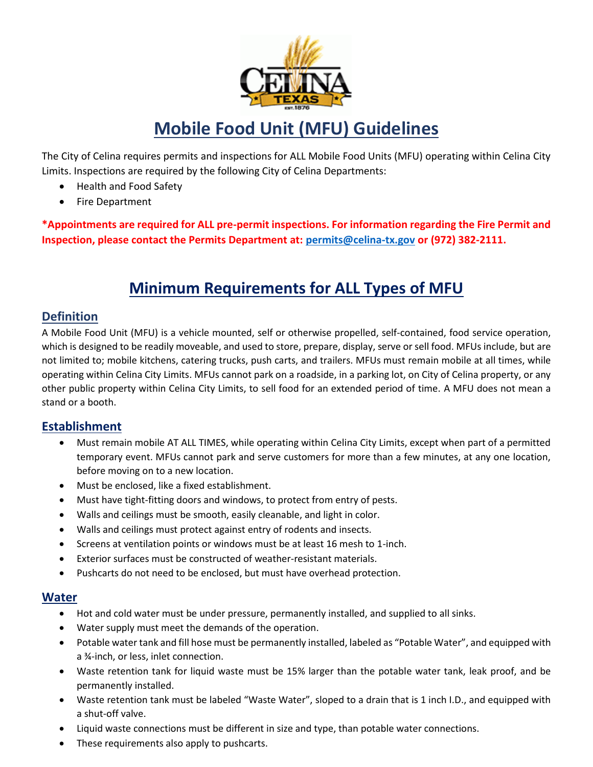

# **Mobile Food Unit (MFU) Guidelines**

The City of Celina requires permits and inspections for ALL Mobile Food Units (MFU) operating within Celina City Limits. Inspections are required by the following City of Celina Departments:

- Health and Food Safety
- Fire Department

**\*Appointments are required for ALL pre-permit inspections. For information regarding the Fire Permit and Inspection, please contact the Permits Department at: [permits@celina-tx.gov](mailto:permits@celina-tx.gov) or (972) 382-2111.**

## **Minimum Requirements for ALL Types of MFU**

### **Definition**

A Mobile Food Unit (MFU) is a vehicle mounted, self or otherwise propelled, self-contained, food service operation, which is designed to be readily moveable, and used to store, prepare, display, serve or sell food. MFUs include, but are not limited to; mobile kitchens, catering trucks, push carts, and trailers. MFUs must remain mobile at all times, while operating within Celina City Limits. MFUs cannot park on a roadside, in a parking lot, on City of Celina property, or any other public property within Celina City Limits, to sell food for an extended period of time. A MFU does not mean a stand or a booth.

#### **Establishment**

- Must remain mobile AT ALL TIMES, while operating within Celina City Limits, except when part of a permitted temporary event. MFUs cannot park and serve customers for more than a few minutes, at any one location, before moving on to a new location.
- Must be enclosed, like a fixed establishment.
- Must have tight-fitting doors and windows, to protect from entry of pests.
- Walls and ceilings must be smooth, easily cleanable, and light in color.
- Walls and ceilings must protect against entry of rodents and insects.
- Screens at ventilation points or windows must be at least 16 mesh to 1-inch.
- Exterior surfaces must be constructed of weather-resistant materials.
- Pushcarts do not need to be enclosed, but must have overhead protection.

#### **Water**

- Hot and cold water must be under pressure, permanently installed, and supplied to all sinks.
- Water supply must meet the demands of the operation.
- Potable water tank and fill hose must be permanently installed, labeled as "Potable Water", and equipped with a ¾-inch, or less, inlet connection.
- Waste retention tank for liquid waste must be 15% larger than the potable water tank, leak proof, and be permanently installed.
- Waste retention tank must be labeled "Waste Water", sloped to a drain that is 1 inch I.D., and equipped with a shut-off valve.
- Liquid waste connections must be different in size and type, than potable water connections.
- These requirements also apply to pushcarts.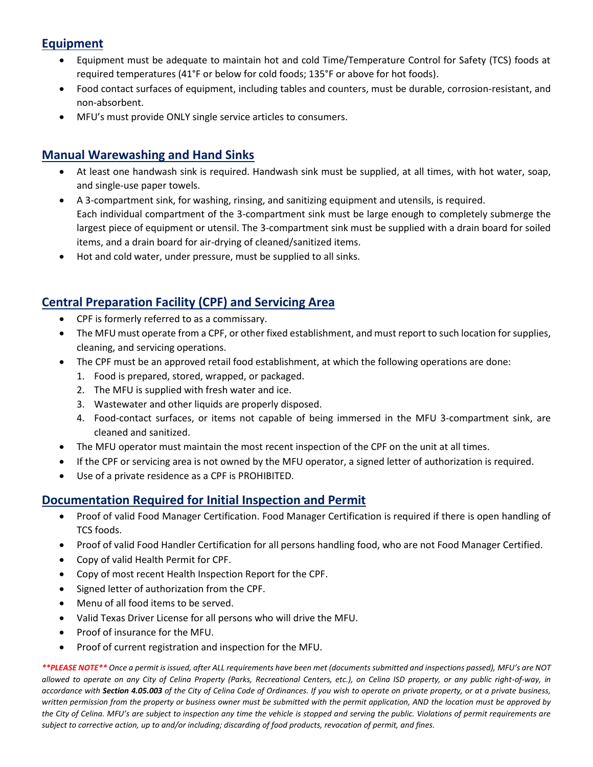### **Equipment**

- Equipment must be adequate to maintain hot and cold Time/Temperature Control for Safety (TCS) foods at required temperatures (41°F or below for cold foods; 135°F or above for hot foods).
- Food contact surfaces of equipment, including tables and counters, must be durable, corrosion-resistant, and non-absorbent.
- MFU's must provide ONLY single service articles to consumers.

### **Manual Warewashing and Hand Sinks**

- At least one handwash sink is required. Handwash sink must be supplied, at all times, with hot water, soap, and single-use paper towels.
- A 3-compartment sink, for washing, rinsing, and sanitizing equipment and utensils, is required. Each individual compartment of the 3-compartment sink must be large enough to completely submerge the largest piece of equipment or utensil. The 3-compartment sink must be supplied with a drain board for soiled items, and a drain board for air-drying of cleaned/sanitized items.
- Hot and cold water, under pressure, must be supplied to all sinks.

### **Central Preparation Facility (CPF) and Servicing Area**

- CPF is formerly referred to as a commissary.
- The MFU must operate from a CPF, or other fixed establishment, and must report to such location for supplies, cleaning, and servicing operations.
- The CPF must be an approved retail food establishment, at which the following operations are done:
	- 1. Food is prepared, stored, wrapped, or packaged.
	- 2. The MFU is supplied with fresh water and ice.
	- 3. Wastewater and other liquids are properly disposed.
	- 4. Food-contact surfaces, or items not capable of being immersed in the MFU 3-compartment sink, are cleaned and sanitized.
- The MFU operator must maintain the most recent inspection of the CPF on the unit at all times.
- If the CPF or servicing area is not owned by the MFU operator, a signed letter of authorization is required.
- Use of a private residence as a CPF is PROHIBITED.

### **Documentation Required for Initial Inspection and Permit**

- Proof of valid Food Manager Certification. Food Manager Certification is required if there is open handling of TCS foods.
- Proof of valid Food Handler Certification for all persons handling food, who are not Food Manager Certified.
- Copy of valid Health Permit for CPF.
- Copy of most recent Health Inspection Report for the CPF.
- Signed letter of authorization from the CPF.
- Menu of all food items to be served.
- Valid Texas Driver License for all persons who will drive the MFU.
- Proof of insurance for the MFU.
- Proof of current registration and inspection for the MFU.

*\*\*PLEASE NOTE\*\* Once a permit is issued, after ALL requirements have been met (documents submitted and inspections passed), MFU's are NOT allowed to operate on any City of Celina Property (Parks, Recreational Centers, etc.), on Celina ISD property, or any public right-of-way, in accordance with Section 4.05.003 of the City of Celina Code of Ordinances. If you wish to operate on private property, or at a private business, written permission from the property or business owner must be submitted with the permit application, AND the location must be approved by the City of Celina. MFU's are subject to inspection any time the vehicle is stopped and serving the public. Violations of permit requirements are subject to corrective action, up to and/or including; discarding of food products, revocation of permit, and fines.*